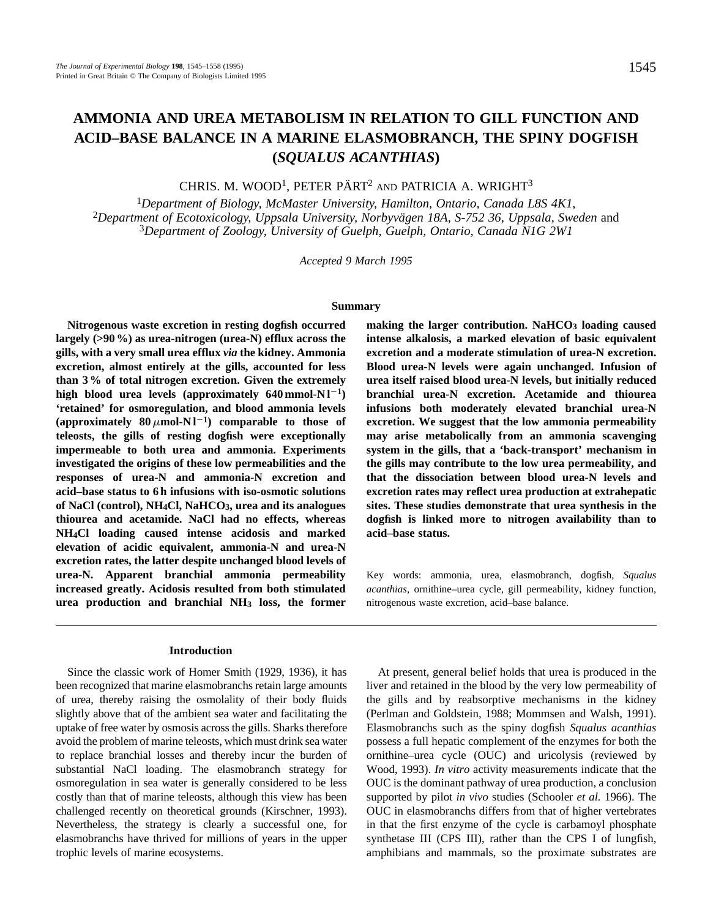# **AMMONIA AND UREA METABOLISM IN RELATION TO GILL FUNCTION AND ACID–BASE BALANCE IN A MARINE ELASMOBRANCH, THE SPINY DOGFISH (***SQUALUS ACANTHIAS***)**

CHRIS. M. WOOD<sup>1</sup>, PETER PÄRT<sup>2</sup> AND PATRICIA A. WRIGHT<sup>3</sup>

<sup>1</sup>*Department of Biology, McMaster University, Hamilton, Ontario, Canada L8S 4K1,*  <sup>2</sup>Department of Ecotoxicology, Uppsala University, Norbyvägen 18A, S-752 36, Uppsala, Sweden and <sup>3</sup>*Department of Zoology, University of Guelph, Guelph, Ontario, Canada N1G 2W1*

*Accepted 9 March 1995*

#### **Summary**

**Nitrogenous waste excretion in resting dogfish occurred largely (>90 %) as urea-nitrogen (urea-N) efflux across the gills, with a very small urea efflux** *via* **the kidney. Ammonia excretion, almost entirely at the gills, accounted for less than 3 % of total nitrogen excretion. Given the extremely** high blood urea levels (approximately  $640$  mmol-N $1^{-1}$ ) **'retained' for osmoregulation, and blood ammonia levels** (approximately  $80 \mu$ mol-N1<sup>-1</sup>) comparable to those of **teleosts, the gills of resting dogfish were exceptionally impermeable to both urea and ammonia. Experiments investigated the origins of these low permeabilities and the responses of urea-N and ammonia-N excretion and acid–base status to 6 h infusions with iso-osmotic solutions of NaCl (control), NH4Cl, NaHCO3, urea and its analogues thiourea and acetamide. NaCl had no effects, whereas NH4Cl loading caused intense acidosis and marked elevation of acidic equivalent, ammonia-N and urea-N excretion rates, the latter despite unchanged blood levels of urea-N. Apparent branchial ammonia permeability increased greatly. Acidosis resulted from both stimulated urea production and branchial NH3 loss, the former**

## **Introduction**

Since the classic work of Homer Smith (1929, 1936), it has been recognized that marine elasmobranchs retain large amounts of urea, thereby raising the osmolality of their body fluids slightly above that of the ambient sea water and facilitating the uptake of free water by osmosis across the gills. Sharks therefore avoid the problem of marine teleosts, which must drink sea water to replace branchial losses and thereby incur the burden of substantial NaCl loading. The elasmobranch strategy for osmoregulation in sea water is generally considered to be less costly than that of marine teleosts, although this view has been challenged recently on theoretical grounds (Kirschner, 1993). Nevertheless, the strategy is clearly a successful one, for elasmobranchs have thrived for millions of years in the upper trophic levels of marine ecosystems.

making the larger contribution. NaHCO<sub>3</sub> loading caused **intense alkalosis, a marked elevation of basic equivalent excretion and a moderate stimulation of urea-N excretion. Blood urea-N levels were again unchanged. Infusion of urea itself raised blood urea-N levels, but initially reduced branchial urea-N excretion. Acetamide and thiourea infusions both moderately elevated branchial urea-N excretion. We suggest that the low ammonia permeability may arise metabolically from an ammonia scavenging system in the gills, that a 'back-transport' mechanism in the gills may contribute to the low urea permeability, and that the dissociation between blood urea-N levels and excretion rates may reflect urea production at extrahepatic sites. These studies demonstrate that urea synthesis in the dogfish is linked more to nitrogen availability than to acid–base status.**

Key words: ammonia, urea, elasmobranch, dogfish, *Squalus acanthias*, ornithine–urea cycle, gill permeability, kidney function, nitrogenous waste excretion, acid–base balance.

At present, general belief holds that urea is produced in the liver and retained in the blood by the very low permeability of the gills and by reabsorptive mechanisms in the kidney (Perlman and Goldstein, 1988; Mommsen and Walsh, 1991). Elasmobranchs such as the spiny dogfish *Squalus acanthias* possess a full hepatic complement of the enzymes for both the ornithine–urea cycle (OUC) and uricolysis (reviewed by Wood, 1993). *In vitro* activity measurements indicate that the OUC is the dominant pathway of urea production, a conclusion supported by pilot *in vivo* studies (Schooler *et al.* 1966). The OUC in elasmobranchs differs from that of higher vertebrates in that the first enzyme of the cycle is carbamoyl phosphate synthetase III (CPS III), rather than the CPS I of lungfish, amphibians and mammals, so the proximate substrates are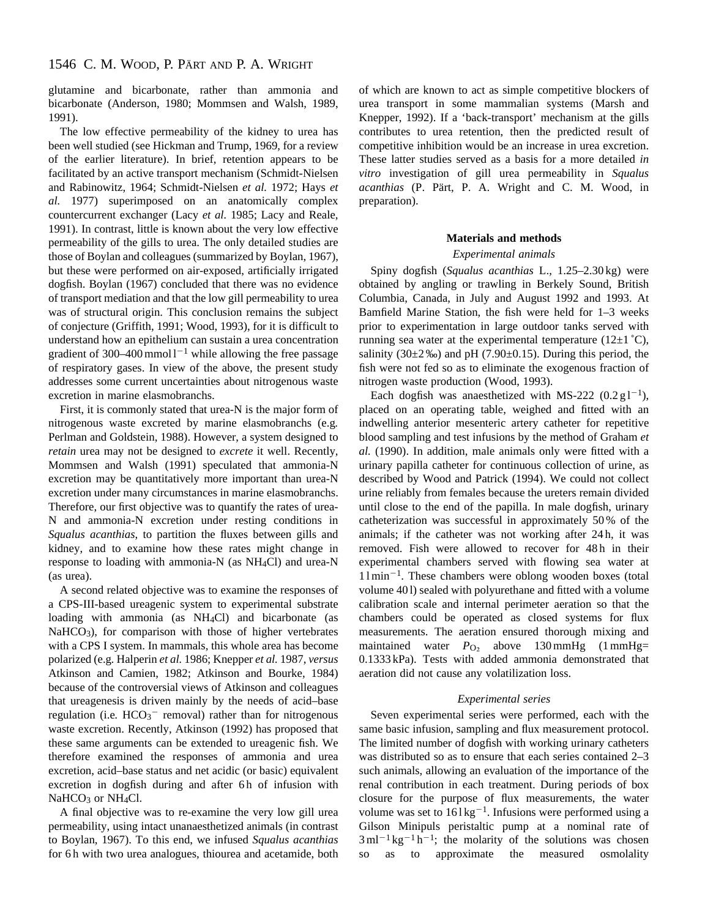glutamine and bicarbonate, rather than ammonia and bicarbonate (Anderson, 1980; Mommsen and Walsh, 1989, 1991).

The low effective permeability of the kidney to urea has been well studied (see Hickman and Trump, 1969, for a review of the earlier literature). In brief, retention appears to be facilitated by an active transport mechanism (Schmidt-Nielsen and Rabinowitz, 1964; Schmidt-Nielsen *et al.* 1972; Hays *et al.* 1977) superimposed on an anatomically complex countercurrent exchanger (Lacy *et al.* 1985; Lacy and Reale, 1991). In contrast, little is known about the very low effective permeability of the gills to urea. The only detailed studies are those of Boylan and colleagues (summarized by Boylan, 1967), but these were performed on air-exposed, artificially irrigated dogfish. Boylan (1967) concluded that there was no evidence of transport mediation and that the low gill permeability to urea was of structural origin. This conclusion remains the subject of conjecture (Griffith, 1991; Wood, 1993), for it is difficult to understand how an epithelium can sustain a urea concentration gradient of 300–400 mmol  $1^{-1}$  while allowing the free passage of respiratory gases. In view of the above, the present study addresses some current uncertainties about nitrogenous waste excretion in marine elasmobranchs.

First, it is commonly stated that urea-N is the major form of nitrogenous waste excreted by marine elasmobranchs (e.g*.* Perlman and Goldstein, 1988). However, a system designed to *retain* urea may not be designed to *excrete* it well. Recently, Mommsen and Walsh (1991) speculated that ammonia-N excretion may be quantitatively more important than urea-N excretion under many circumstances in marine elasmobranchs. Therefore, our first objective was to quantify the rates of urea-N and ammonia-N excretion under resting conditions in *Squalus acanthias*, to partition the fluxes between gills and kidney, and to examine how these rates might change in response to loading with ammonia-N (as NH4Cl) and urea-N (as urea).

A second related objective was to examine the responses of a CPS-III-based ureagenic system to experimental substrate loading with ammonia (as NH<sub>4</sub>Cl) and bicarbonate (as NaHCO<sub>3</sub>), for comparison with those of higher vertebrates with a CPS I system. In mammals, this whole area has become polarized (e.g*.* Halperin *et al.* 1986; Knepper *et al.* 1987, *versus* Atkinson and Camien, 1982; Atkinson and Bourke, 1984) because of the controversial views of Atkinson and colleagues that ureagenesis is driven mainly by the needs of acid–base regulation (i.e. HCO<sub>3</sub><sup>-</sup> removal) rather than for nitrogenous waste excretion. Recently, Atkinson (1992) has proposed that these same arguments can be extended to ureagenic fish. We therefore examined the responses of ammonia and urea excretion, acid–base status and net acidic (or basic) equivalent excretion in dogfish during and after 6h of infusion with  $NaHCO<sub>3</sub>$  or NH<sub>4</sub>Cl.

A final objective was to re-examine the very low gill urea permeability, using intact unanaesthetized animals (in contrast to Boylan, 1967). To this end, we infused *Squalus acanthias* for 6h with two urea analogues, thiourea and acetamide, both

of which are known to act as simple competitive blockers of urea transport in some mammalian systems (Marsh and Knepper, 1992). If a 'back-transport' mechanism at the gills contributes to urea retention, then the predicted result of competitive inhibition would be an increase in urea excretion. These latter studies served as a basis for a more detailed *in vitro* investigation of gill urea permeability in *Squalus acanthias* (P. Pärt, P. A. Wright and C. M. Wood, in preparation).

# **Materials and methods**

#### *Experimental animals*

Spiny dogfish (*Squalus acanthias* L., 1.25–2.30 kg) were obtained by angling or trawling in Berkely Sound, British Columbia, Canada, in July and August 1992 and 1993. At Bamfield Marine Station, the fish were held for 1–3 weeks prior to experimentation in large outdoor tanks served with running sea water at the experimental temperature  $(12\pm1^{\circ}C)$ , salinity (30 $\pm$ 2 ‰) and pH (7.90 $\pm$ 0.15). During this period, the fish were not fed so as to eliminate the exogenous fraction of nitrogen waste production (Wood, 1993).

Each dogfish was anaesthetized with MS-222  $(0.2 \text{ g1}^{-1})$ , placed on an operating table, weighed and fitted with an indwelling anterior mesenteric artery catheter for repetitive blood sampling and test infusions by the method of Graham *et al.* (1990). In addition, male animals only were fitted with a urinary papilla catheter for continuous collection of urine, as described by Wood and Patrick (1994). We could not collect urine reliably from females because the ureters remain divided until close to the end of the papilla. In male dogfish, urinary catheterization was successful in approximately 50 % of the animals; if the catheter was not working after 24 h, it was removed. Fish were allowed to recover for 48h in their experimental chambers served with flowing sea water at  $11 \text{min}^{-1}$ . These chambers were oblong wooden boxes (total volume 40 l) sealed with polyurethane and fitted with a volume calibration scale and internal perimeter aeration so that the chambers could be operated as closed systems for flux measurements. The aeration ensured thorough mixing and maintained water  $P_{\text{O}_2}$  above 130 mmHg (1 mmHg= 0.1333 kPa). Tests with added ammonia demonstrated that aeration did not cause any volatilization loss.

#### *Experimental series*

Seven experimental series were performed, each with the same basic infusion, sampling and flux measurement protocol. The limited number of dogfish with working urinary catheters was distributed so as to ensure that each series contained 2–3 such animals, allowing an evaluation of the importance of the renal contribution in each treatment. During periods of box closure for the purpose of flux measurements, the water volume was set to  $161 \text{kg}^{-1}$ . Infusions were performed using a Gilson Minipuls peristaltic pump at a nominal rate of  $3 \text{ ml}^{-1} \text{ kg}^{-1} \text{ h}^{-1}$ ; the molarity of the solutions was chosen so as to approximate the measured osmolality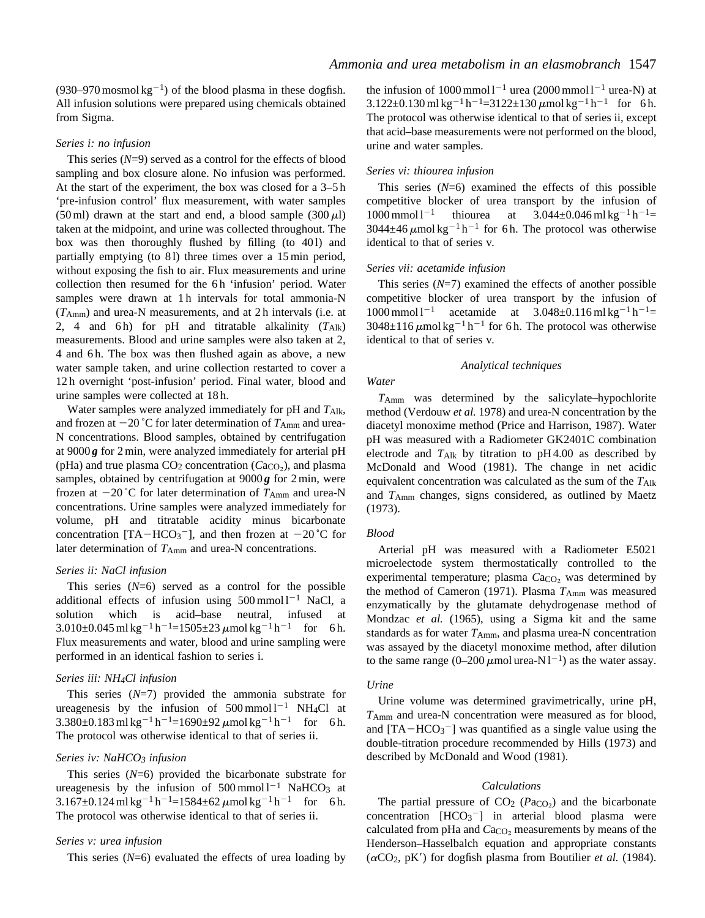(930–970 mosmol kg<sup>-1</sup>) of the blood plasma in these dogfish. All infusion solutions were prepared using chemicals obtained from Sigma.

#### *Series i: no infusion*

This series  $(N=9)$  served as a control for the effects of blood sampling and box closure alone. No infusion was performed. At the start of the experiment, the box was closed for a 3–5 h 'pre-infusion control' flux measurement, with water samples  $(50 \text{ ml})$  drawn at the start and end, a blood sample  $(300 \mu l)$ taken at the midpoint, and urine was collected throughout. The box was then thoroughly flushed by filling (to 401) and partially emptying (to 81) three times over a 15 min period, without exposing the fish to air. Flux measurements and urine collection then resumed for the 6h 'infusion' period. Water samples were drawn at 1h intervals for total ammonia-N (*T*Amm) and urea-N measurements, and at 2 h intervals (i.e. at 2, 4 and 6h) for pH and titratable alkalinity  $(T_{\text{Alk}})$ measurements. Blood and urine samples were also taken at 2, 4 and 6 h. The box was then flushed again as above, a new water sample taken, and urine collection restarted to cover a 12 h overnight 'post-infusion' period. Final water, blood and urine samples were collected at 18 h.

Water samples were analyzed immediately for pH and *T*Alk, and frozen at  $-20$  °C for later determination of  $T_{\text{Amm}}$  and urea-N concentrations. Blood samples, obtained by centrifugation at 9000 *g* for 2 min, were analyzed immediately for arterial pH (pHa) and true plasma  $CO<sub>2</sub>$  concentration ( $Ca<sub>CO<sub>2</sub></sub>$ ), and plasma samples, obtained by centrifugation at 9000 *g* for 2 min, were frozen at  $-20$ °C for later determination of  $T_{Amm}$  and urea-N concentrations. Urine samples were analyzed immediately for volume, pH and titratable acidity minus bicarbonate concentration [TA-HCO<sub>3</sub><sup>-</sup>], and then frozen at  $-20^{\circ}$ C for later determination of  $T_{\text{Amm}}$  and urea-N concentrations.

### *Series ii: NaCl infusion*

This series  $(N=6)$  served as a control for the possible additional effects of infusion using  $500 \text{ mmol} \, 1^{-1}$  NaCl, a solution which is acid–base neutral, infused at  $3.010\pm0.045$  ml kg<sup>-1</sup> h<sup>-1</sup>=1505 $\pm$ 23  $\mu$ mol kg<sup>-1</sup> h<sup>-1</sup> for 6 h. Flux measurements and water, blood and urine sampling were performed in an identical fashion to series i.

### *Series iii: NH4Cl infusion*

This series (*N*=7) provided the ammonia substrate for ureagenesis by the infusion of  $500 \text{ mmol}1^{-1}$  NH<sub>4</sub>Cl at  $3.380\pm0.183$  ml kg<sup>-1</sup> h<sup>-1</sup>=1690 $\pm$ 92  $\mu$ mol kg<sup>-1</sup> h<sup>-1</sup> for 6 h. The protocol was otherwise identical to that of series ii.

### *Series iv: NaHCO3 infusion*

This series (*N*=6) provided the bicarbonate substrate for ureagenesis by the infusion of  $500 \text{ mmol}1^{-1}$  NaHCO<sub>3</sub> at  $3.167\pm0.124$  ml kg<sup>-1</sup> h<sup>-1</sup>=1584 $\pm$ 62  $\mu$ mol kg<sup>-1</sup> h<sup>-1</sup> for 6 h. The protocol was otherwise identical to that of series ii.

# *Series v: urea infusion*

This series  $(N=6)$  evaluated the effects of urea loading by

the infusion of  $1000$  mmol  $1^{-1}$  urea (2000 mmol  $1^{-1}$  urea-N) at  $3.122\pm0.130$  ml kg<sup>-1</sup> h<sup>-1</sup>=3122±130  $\mu$ mol kg<sup>-1</sup> h<sup>-1</sup> for 6 h. The protocol was otherwise identical to that of series ii, except that acid–base measurements were not performed on the blood, urine and water samples.

#### *Series vi: thiourea infusion*

This series  $(N=6)$  examined the effects of this possible competitive blocker of urea transport by the infusion of  $1000$  mmol l<sup>-1</sup> thiourea at  $3.044\pm0.046$  ml kg<sup>-1</sup> h<sup>-1</sup>=  $3044\pm46 \mu$ mol kg<sup>-1</sup> h<sup>-1</sup> for 6 h. The protocol was otherwise identical to that of series v*.*

#### *Series vii: acetamide infusion*

This series  $(N=7)$  examined the effects of another possible competitive blocker of urea transport by the infusion of  $1000$  mmol  $1^{-1}$  acetamide at  $3.048\pm0.116$  ml kg<sup>-1</sup> h<sup>-1</sup>=  $3048\pm116$   $\mu$ mol kg<sup>-1</sup> h<sup>-1</sup> for 6 h. The protocol was otherwise identical to that of series v*.*

#### *Analytical techniques*

# *Water*

*T*Amm was determined by the salicylate–hypochlorite method (Verdouw *et al.* 1978) and urea-N concentration by the diacetyl monoxime method (Price and Harrison, 1987). Water pH was measured with a Radiometer GK2401C combination electrode and *T*Alk by titration to pH 4.00 as described by McDonald and Wood (1981). The change in net acidic equivalent concentration was calculated as the sum of the *T*Alk and *T*Amm changes, signs considered, as outlined by Maetz (1973).

#### *Blood*

Arterial pH was measured with a Radiometer E5021 microelectode system thermostatically controlled to the experimental temperature; plasma *Ca*<sub>CO</sub>, was determined by the method of Cameron (1971). Plasma  $T_{\text{Amm}}$  was measured enzymatically by the glutamate dehydrogenase method of Mondzac *et al.* (1965), using a Sigma kit and the same standards as for water  $T_{Amm}$ , and plasma urea-N concentration was assayed by the diacetyl monoxime method, after dilution to the same range  $(0-200 \,\mu\text{mol} \text{ urea-N} \, \text{I}^{-1})$  as the water assay.

### *Urine*

Urine volume was determined gravimetrically, urine pH, *T*Amm and urea-N concentration were measured as for blood, and  $[TA-HCO<sub>3</sub>$ <sup>-</sup>] was quantified as a single value using the double-titration procedure recommended by Hills (1973) and described by McDonald and Wood (1981).

#### *Calculations*

The partial pressure of  $CO<sub>2</sub>$  ( $Pa<sub>CO<sub>2</sub></sub>$ ) and the bicarbonate concentration  $[HCO<sub>3</sub><sup>-</sup>]$  in arterial blood plasma were calculated from pHa and *C*a<sub>CO2</sub> measurements by means of the Henderson–Hasselbalch equation and appropriate constants  $(\alpha CO_2, pK')$  for dogfish plasma from Boutilier *et al.* (1984).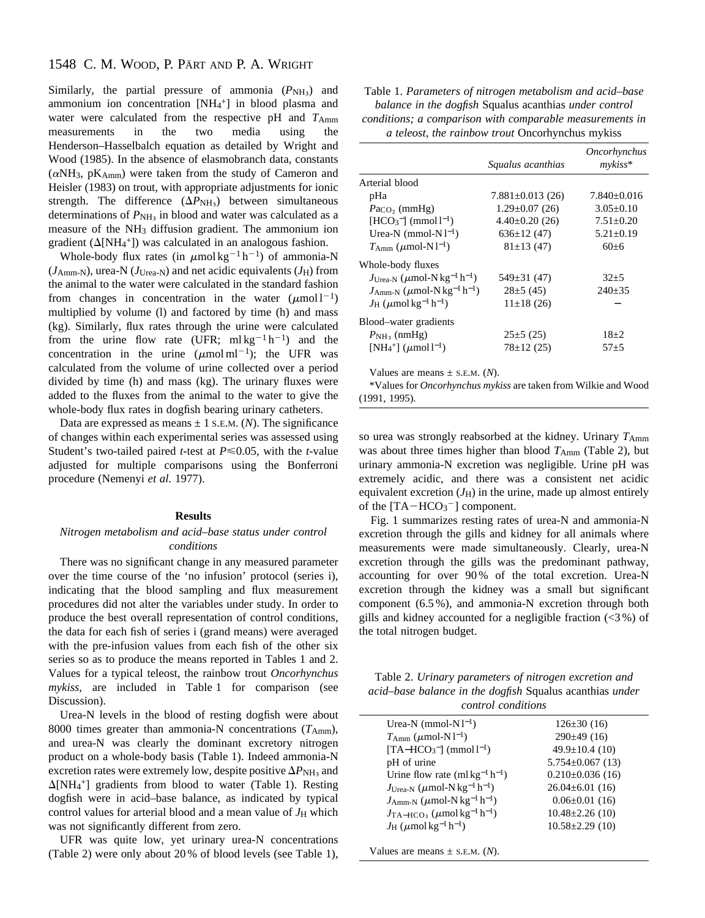# 1548 C. M. WOOD, P. PÄRT AND P. A. WRIGHT

Similarly, the partial pressure of ammonia  $(P_{NH<sub>3</sub>})$  and ammonium ion concentration [NH<sub>4</sub><sup>+</sup>] in blood plasma and water were calculated from the respective pH and  $T_{Amm}$ measurements in the two media using the Henderson–Hasselbalch equation as detailed by Wright and Wood (1985). In the absence of elasmobranch data, constants  $(\alpha NH_3, pK_{Amm})$  were taken from the study of Cameron and Heisler (1983) on trout, with appropriate adjustments for ionic strength. The difference  $(\Delta P_{\text{NH}_3})$  between simultaneous determinations of  $P_{\text{NH}_3}$  in blood and water was calculated as a measure of the NH3 diffusion gradient. The ammonium ion gradient ( $\Delta$ [NH<sub>4</sub><sup>+</sup>]) was calculated in an analogous fashion.

Whole-body flux rates (in  $\mu$ mol kg<sup>-1</sup> h<sup>-1</sup>) of ammonia-N  $(J<sub>Amm-N</sub>)$ , urea-N  $(J<sub>Urea-N</sub>)$  and net acidic equivalents  $(J<sub>H</sub>)$  from the animal to the water were calculated in the standard fashion from changes in concentration in the water  $(\mu \text{mol})^{-1}$ ) multiplied by volume (l) and factored by time (h) and mass (kg). Similarly, flux rates through the urine were calculated from the urine flow rate (UFR; mlkg<sup>-1</sup>h<sup>-1</sup>) and the concentration in the urine  $(\mu \text{mol} \text{ ml}^{-1})$ ; the UFR was calculated from the volume of urine collected over a period divided by time (h) and mass (kg). The urinary fluxes were added to the fluxes from the animal to the water to give the whole-body flux rates in dogfish bearing urinary catheters.

Data are expressed as means  $\pm$  1 s.E.M. (*N*). The significance of changes within each experimental series was assessed using Student's two-tailed paired *t*-test at  $P \le 0.05$ , with the *t*-value adjusted for multiple comparisons using the Bonferroni procedure (Nemenyi *et al.* 1977).

### **Results**

# *Nitrogen metabolism and acid–base status under control conditions*

There was no significant change in any measured parameter over the time course of the 'no infusion' protocol (series i), indicating that the blood sampling and flux measurement procedures did not alter the variables under study. In order to produce the best overall representation of control conditions, the data for each fish of series i (grand means) were averaged with the pre-infusion values from each fish of the other six series so as to produce the means reported in Tables 1 and 2. Values for a typical teleost, the rainbow trout *Oncorhynchus mykiss*, are included in Table 1 for comparison (see Discussion).

Urea-N levels in the blood of resting dogfish were about 8000 times greater than ammonia-N concentrations (*T*Amm), and urea-N was clearly the dominant excretory nitrogen product on a whole-body basis (Table 1). Indeed ammonia-N excretion rates were extremely low, despite positive  $\Delta P_{\text{NH}_3}$  and  $\Delta$ [NH<sub>4</sub><sup>+</sup>] gradients from blood to water (Table 1). Resting dogfish were in acid–base balance, as indicated by typical control values for arterial blood and a mean value of  $J_H$  which was not significantly different from zero.

UFR was quite low, yet urinary urea-N concentrations (Table 2) were only about 20 % of blood levels (see Table 1),

| Table 1. Parameters of nitrogen metabolism and acid-base |
|----------------------------------------------------------|
| balance in the dogfish Squalus acanthias under control   |
| conditions; a comparison with comparable measurements in |
| a teleost, the rainbow trout Oncorhynchus mykiss         |

|                                                                       |                       | <i><b>Oncorhynchus</b></i> |
|-----------------------------------------------------------------------|-----------------------|----------------------------|
|                                                                       | Squalus acanthias     | $m\nu k$ iss*              |
| Arterial blood                                                        |                       |                            |
| pHa                                                                   | $7.881 \pm 0.013(26)$ | $7.840+0.016$              |
| $PaCO_2$ (mmHg)                                                       | $1.29 \pm 0.07$ (26)  | $3.05+0.10$                |
| $[HCO_3^-]$ (mmol $l^{-1}$ )                                          | $4.40\pm0.20(26)$     | $7.51 + 0.20$              |
| Urea-N $(mmol-Nl^{-1})$                                               | $636 \pm 12(47)$      | $5.21 + 0.19$              |
| $T_{\text{Amm}}$ ( $\mu$ mol-N1 <sup>-1</sup> )                       | $81\pm13(47)$         | $60+6$                     |
| Whole-body fluxes                                                     |                       |                            |
| $J_{Urea-N}$ ( $\mu$ mol-N kg <sup>-1</sup> h <sup>-1</sup> )         | $549\pm31(47)$        | $32+5$                     |
| $J_{\text{Amm-N}}\,(\mu \text{mol-N}\,\text{kg}^{-1}\,\text{h}^{-1})$ | $28\pm 5(45)$         | $240+35$                   |
| $J_{\rm H}$ ( $\mu$ mol kg <sup>-1</sup> h <sup>-1</sup> )            | $11\pm18(26)$         |                            |
| Blood-water gradients                                                 |                       |                            |
| $P_{\rm NH_3}$ (nmHg)                                                 | $25\pm 5(25)$         | $18+2$                     |
| [NH <sub>4</sub> <sup>+</sup> ] ( $\mu$ mol l <sup>-1</sup> )         | $78 \pm 12(25)$       | $57 + 5$                   |
|                                                                       |                       |                            |

Values are means  $\pm$  s.e.m. (*N*).

\*Values for *Oncorhynchus mykiss* are taken from Wilkie and Wood (1991, 1995).

so urea was strongly reabsorbed at the kidney. Urinary  $T_{\text{Amm}}$ was about three times higher than blood  $T_{\text{Amm}}$  (Table 2), but urinary ammonia-N excretion was negligible. Urine pH was extremely acidic, and there was a consistent net acidic equivalent excretion  $(J_H)$  in the urine, made up almost entirely of the  $[TA-HCO<sub>3</sub><sup>-</sup>]$  component.

Fig. 1 summarizes resting rates of urea-N and ammonia-N excretion through the gills and kidney for all animals where measurements were made simultaneously. Clearly, urea-N excretion through the gills was the predominant pathway, accounting for over 90 % of the total excretion. Urea-N excretion through the kidney was a small but significant component (6.5 %), and ammonia-N excretion through both gills and kidney accounted for a negligible fraction  $\langle \langle 3\% \rangle$  of the total nitrogen budget.

Table 2. *Urinary parameters of nitrogen excretion and acid–base balance in the dogfish* Squalus acanthias *under control conditions*

| Urea-N $(mmol-Nl^{-1})$                                               | $126 \pm 30(16)$       |
|-----------------------------------------------------------------------|------------------------|
| $T_{\text{Amm}}$ ( $\mu$ mol-N1 <sup>-1</sup> )                       | 290±49(16)             |
| $[TA-HCO3-] (mmol1)$                                                  | $49.9 \pm 10.4$ (10)   |
| pH of urine                                                           | $5.754 \pm 0.067$ (13) |
| Urine flow rate $(m1kg^{-1}h^{-1})$                                   | $0.210\pm0.036(16)$    |
| $J_{U \text{rea-N}}$ ( $\mu$ mol-N kg <sup>-1</sup> h <sup>-1</sup> ) | $26.04 \pm 6.01$ (16)  |
| $J_{\text{Amm-N}}$ ( $\mu$ mol-N kg <sup>-1</sup> h <sup>-1</sup> )   | $0.06 \pm 0.01$ (16)   |
| $J_{\rm TA-HCO_3}$ ( $\mu$ mol kg <sup>-1</sup> h <sup>-1</sup> )     | $10.48 \pm 2.26$ (10)  |
| $J_{\rm H}$ ( $\mu$ mol kg <sup>-1</sup> h <sup>-1</sup> )            | $10.58 \pm 2.29$ (10)  |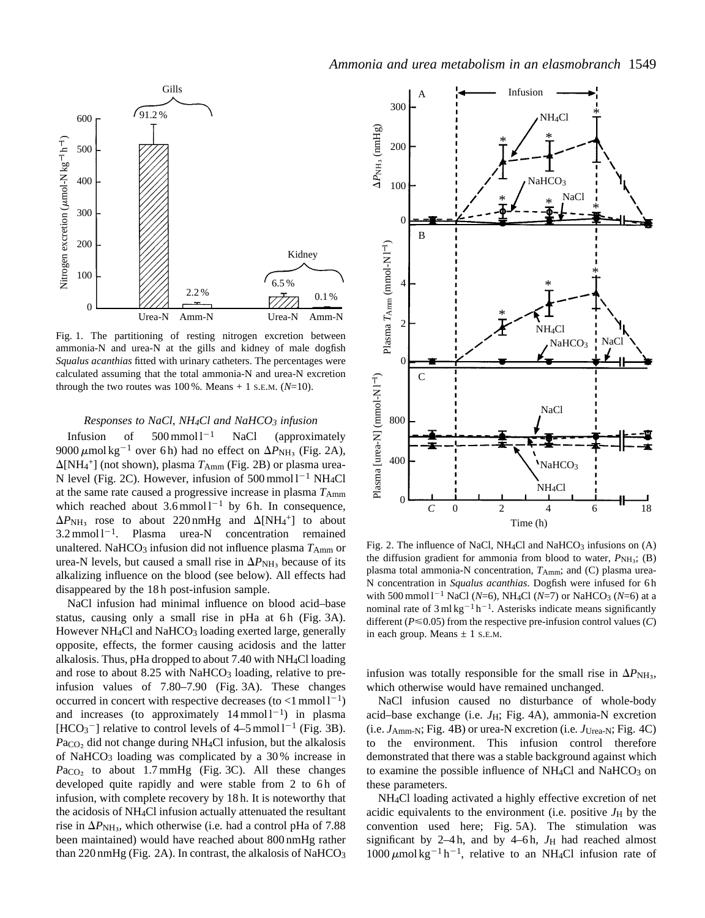

Fig. 1. The partitioning of resting nitrogen excretion between ammonia-N and urea-N at the gills and kidney of male dogfish *Squalus acanthias* fitted with urinary catheters. The percentages were calculated assuming that the total ammonia-N and urea-N excretion through the two routes was  $100\%$ . Means  $+ 1$  s.e.m. ( $N=10$ ).

# *Responses to NaCl, NH4Cl and NaHCO3 infusion*

Infusion of  $500 \text{ mmol} \cdot 1^{-1}$  NaCl (approximately 9000  $\mu$ mol kg<sup>-1</sup> over 6 h) had no effect on  $\Delta P_{\text{NH}_3}$  (Fig. 2A),  $\Delta[\text{NH}_4^+]$  (not shown), plasma  $T_{\text{Amm}}$  (Fig. 2B) or plasma urea-N level (Fig. 2C). However, infusion of  $500 \text{ mmol}1^{-1} \text{ NH}_4\text{Cl}$ at the same rate caused a progressive increase in plasma  $T_{Amm}$ which reached about  $3.6 \text{mmol} \, 1^{-1}$  by 6h. In consequence,  $\Delta P_{\text{NH}_3}$  rose to about 220 nmHg and  $\Delta[\text{NH}_4^+]$  to about  $3.2 \text{ mmol} \cdot 1^{-1}$ . Plasma urea-N concentration remained unaltered. NaHCO<sub>3</sub> infusion did not influence plasma  $T_{\text{Amm}}$  or urea-N levels, but caused a small rise in  $\Delta P_{\text{NH}_3}$  because of its alkalizing influence on the blood (see below). All effects had disappeared by the 18 h post-infusion sample.

NaCl infusion had minimal influence on blood acid–base status, causing only a small rise in pHa at 6h (Fig. 3A). However NH<sub>4</sub>Cl and NaHCO<sub>3</sub> loading exerted large, generally opposite, effects, the former causing acidosis and the latter alkalosis. Thus, pHa dropped to about 7.40 with NH4Cl loading and rose to about 8.25 with NaHCO<sub>3</sub> loading, relative to preinfusion values of 7.80–7.90 (Fig. 3A). These changes occurred in concert with respective decreases (to  $\langle 1 \text{ mmol } 1^{-1} \rangle$ ) and increases (to approximately  $14$  mmol  $1^{-1}$ ) in plasma  $[HCO<sub>3</sub><sup>-</sup>]$  relative to control levels of 4–5 mmol  $1^{-1}$  (Fig. 3B). Pa<sub>CO2</sub> did not change during NH<sub>4</sub>Cl infusion, but the alkalosis of NaHCO3 loading was complicated by a 30 % increase in  $Pa_{CO<sub>2</sub>}$  to about 1.7 mmHg (Fig. 3C). All these changes developed quite rapidly and were stable from 2 to 6h of infusion, with complete recovery by 18 h. It is noteworthy that the acidosis of NH4Cl infusion actually attenuated the resultant rise in  $\Delta P_{\text{NH}_3}$ , which otherwise (i.e. had a control pHa of 7.88) been maintained) would have reached about 800 nmHg rather than 220 nmHg (Fig. 2A). In contrast, the alkalosis of NaHCO<sub>3</sub>



Fig. 2. The influence of NaCl, NH<sub>4</sub>Cl and NaHCO<sub>3</sub> infusions on  $(A)$ the diffusion gradient for ammonia from blood to water,  $P_{\text{NH}_3}$ ; (B) plasma total ammonia-N concentration,  $T_{Amm}$ ; and (C) plasma urea-N concentration in *Squalus acanthias*. Dogfish were infused for 6 h with 500 mmol  $1^{-1}$  NaCl (*N*=6), NH<sub>4</sub>Cl (*N*=7) or NaHCO<sub>3</sub> (*N*=6) at a nominal rate of  $3 \text{ ml kg}^{-1}$  h<sup>-1</sup>. Asterisks indicate means significantly different ( $P \le 0.05$ ) from the respective pre-infusion control values (C) in each group. Means  $\pm$  1 s.E.M.

infusion was totally responsible for the small rise in  $\Delta P_{\text{NH}_3}$ , which otherwise would have remained unchanged.

NaCl infusion caused no disturbance of whole-body acid–base exchange (i.e. *J*H; Fig. 4A), ammonia-N excretion (i.e. *J*Amm-N; Fig. 4B) or urea-N excretion (i.e*. J*Urea-N; Fig. 4C) to the environment. This infusion control therefore demonstrated that there was a stable background against which to examine the possible influence of  $NH<sub>4</sub>Cl$  and  $NaHCO<sub>3</sub>$  on these parameters.

NH4Cl loading activated a highly effective excretion of net acidic equivalents to the environment (i.e. positive  $J_H$  by the convention used here; Fig. 5A). The stimulation was significant by 2–4 $h$ , and by 4–6 $h$ ,  $J_H$  had reached almost  $1000 \mu$ mol kg<sup>-1</sup> h<sup>-1</sup>, relative to an NH<sub>4</sub>Cl infusion rate of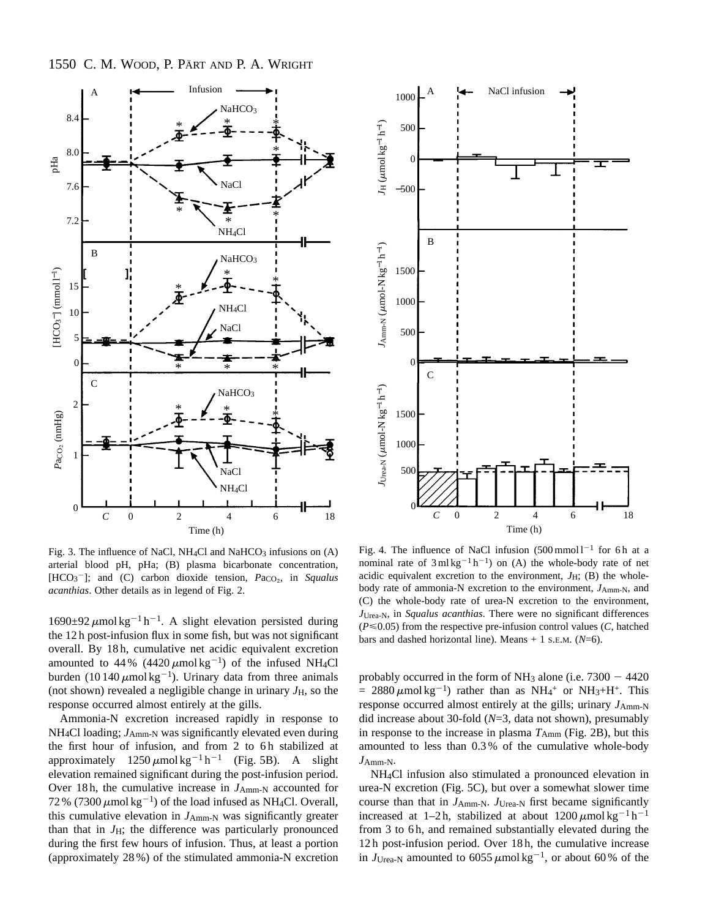

Fig. 3. The influence of NaCl, NH<sub>4</sub>Cl and NaHCO<sub>3</sub> infusions on  $(A)$ arterial blood pH, pHa; (B) plasma bicarbonate concentration, [HCO<sub>3</sub><sup>-</sup>]; and (C) carbon dioxide tension, *Pa*<sub>CO2</sub>, in *Squalus acanthias*. Other details as in legend of Fig. 2.

 $1690\pm92 \ \mu$ mol kg<sup>-1</sup> h<sup>-1</sup>. A slight elevation persisted during the 12 h post-infusion flux in some fish, but was not significant overall. By 18 h, cumulative net acidic equivalent excretion amounted to 44% (4420  $\mu$ mol kg<sup>-1</sup>) of the infused NH<sub>4</sub>Cl burden (10 140  $\mu$ mol kg<sup>-1</sup>). Urinary data from three animals (not shown) revealed a negligible change in urinary  $J_{\rm H}$ , so the response occurred almost entirely at the gills.

Ammonia-N excretion increased rapidly in response to NH<sub>4</sub>Cl loading;  $J_{Amm-N}$  was significantly elevated even during the first hour of infusion, and from 2 to 6h stabilized at approximately  $1250 \mu \text{mol} \text{kg}^{-1} \text{h}^{-1}$  (Fig. 5B). A slight elevation remained significant during the post-infusion period. Over 18h, the cumulative increase in *J*<sub>Amm-N</sub> accounted for 72 % (7300  $\mu$ mol kg<sup>-1</sup>) of the load infused as NH<sub>4</sub>Cl. Overall, this cumulative elevation in  $J_{Amm-N}$  was significantly greater than that in  $J_{\rm H}$ ; the difference was particularly pronounced during the first few hours of infusion. Thus, at least a portion (approximately 28 %) of the stimulated ammonia-N excretion



Fig. 4. The influence of NaCl infusion  $(500 \text{ mmol} 1^{-1}$  for 6h at a nominal rate of  $3 \text{ ml kg}^{-1} h^{-1}$ ) on (A) the whole-body rate of net acidic equivalent excretion to the environment,  $J_H$ ; (B) the wholebody rate of ammonia-N excretion to the environment,  $J_{\text{Amm-N}}$ , and (C) the whole-body rate of urea-N excretion to the environment, *J*Urea-N, in *Squalus acanthias*. There were no significant differences  $(P \le 0.05)$  from the respective pre-infusion control values  $(C,$  hatched bars and dashed horizontal line). Means  $+ 1$  S.E.M. ( $N=6$ ).

probably occurred in the form of NH<sub>3</sub> alone (i.e.  $7300 - 4420$  $= 2880 \mu \text{mol} \text{kg}^{-1}$ ) rather than as NH<sub>4</sub><sup>+</sup> or NH<sub>3</sub>+H<sup>+</sup>. This response occurred almost entirely at the gills; urinary  $J_{\text{Amm-N}}$ did increase about 30-fold (*N*=3, data not shown), presumably in response to the increase in plasma  $T_{\text{Amm}}$  (Fig. 2B), but this amounted to less than 0.3 % of the cumulative whole-body *J*Amm-N.

NH4Cl infusion also stimulated a pronounced elevation in urea-N excretion (Fig. 5C), but over a somewhat slower time course than that in *J*Amm-N. *J*Urea-N first became significantly increased at 1–2h, stabilized at about  $1200 \mu$ mol kg<sup>-1</sup> h<sup>-1</sup> from 3 to 6h, and remained substantially elevated during the 12 h post-infusion period. Over 18 h, the cumulative increase in  $J_{Urea-N}$  amounted to 6055  $\mu$ mol kg<sup>-1</sup>, or about 60 % of the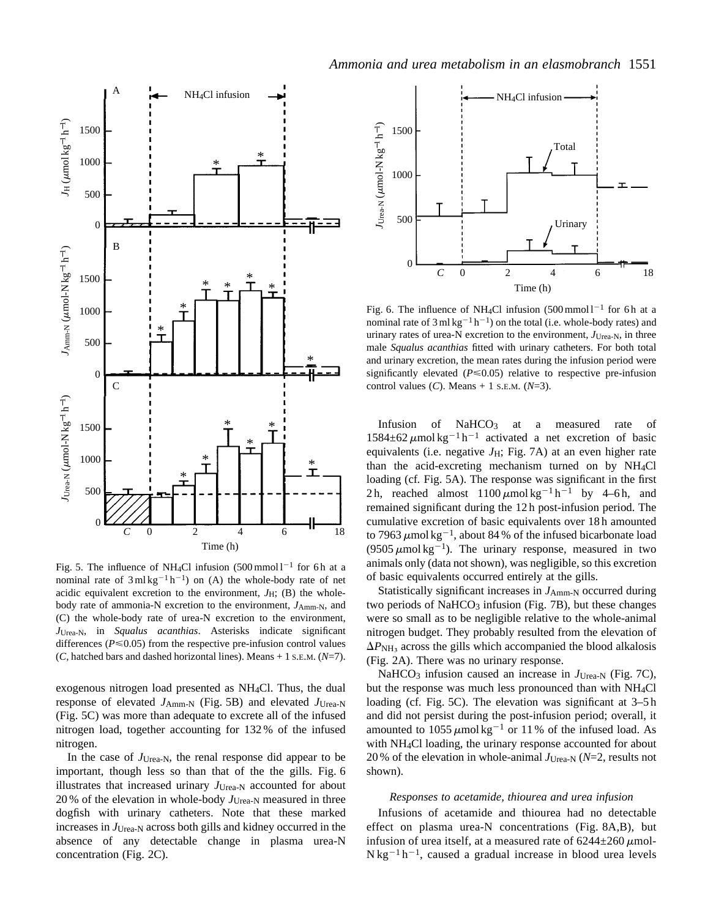

Fig. 5. The influence of NH<sub>4</sub>Cl infusion  $(500 \text{ mmol})^{-1}$  for 6h at a nominal rate of  $3 \text{ ml kg}^{-1} h^{-1}$  on (A) the whole-body rate of net acidic equivalent excretion to the environment,  $J_H$ ; (B) the wholebody rate of ammonia-N excretion to the environment,  $J_{Amm-N}$ , and (C) the whole-body rate of urea-N excretion to the environment, *J*Urea-N, in *Squalus acanthias*. Asterisks indicate significant differences ( $P \le 0.05$ ) from the respective pre-infusion control values (*C*, hatched bars and dashed horizontal lines). Means + 1 S.E.M. (*N*=7).

exogenous nitrogen load presented as NH4Cl. Thus, the dual response of elevated *J*Amm-N (Fig. 5B) and elevated *J*Urea-N (Fig. 5C) was more than adequate to excrete all of the infused nitrogen load, together accounting for 132 % of the infused nitrogen.

In the case of *J*Urea-N, the renal response did appear to be important, though less so than that of the the gills. Fig. 6 illustrates that increased urinary  $J_{Urea-N}$  accounted for about 20 % of the elevation in whole-body *J*Urea-N measured in three dogfish with urinary catheters. Note that these marked increases in *J*Urea-N across both gills and kidney occurred in the absence of any detectable change in plasma urea-N concentration (Fig. 2C).



Fig. 6. The influence of NH<sub>4</sub>Cl infusion  $(500 \text{ mmol } l^{-1}$  for 6h at a nominal rate of  $3 \text{ ml kg}^{-1} \text{ h}^{-1}$ ) on the total (i.e. whole-body rates) and urinary rates of urea-N excretion to the environment, *J*Urea-N, in three male *Squalus acanthias* fitted with urinary catheters. For both total and urinary excretion, the mean rates during the infusion period were significantly elevated  $(P \le 0.05)$  relative to respective pre-infusion control values (*C*). Means + 1 S.E.M. (*N*=3).

Infusion of NaHCO<sub>3</sub> at a measured rate of  $1584\pm62 \mu$ mol kg<sup>-1</sup> h<sup>-1</sup> activated a net excretion of basic equivalents (i.e. negative  $J_H$ ; Fig. 7A) at an even higher rate than the acid-excreting mechanism turned on by NH4Cl loading (cf*.* Fig. 5A). The response was significant in the first 2h, reached almost  $1100 \mu \text{mol} \text{kg}^{-1} \text{h}^{-1}$  by 4–6h, and remained significant during the 12 h post-infusion period. The cumulative excretion of basic equivalents over 18 h amounted to 7963  $\mu$ mol kg<sup>-1</sup>, about 84 % of the infused bicarbonate load (9505  $\mu$ mol kg<sup>-1</sup>). The urinary response, measured in two animals only (data not shown), was negligible, so this excretion of basic equivalents occurred entirely at the gills.

Statistically significant increases in  $J_{Amm-N}$  occurred during two periods of NaHCO<sub>3</sub> infusion (Fig. 7B), but these changes were so small as to be negligible relative to the whole-animal nitrogen budget. They probably resulted from the elevation of  $\Delta P_{\text{NH}_3}$  across the gills which accompanied the blood alkalosis (Fig. 2A). There was no urinary response.

NaHCO<sub>3</sub> infusion caused an increase in *J*<sub>Urea-N</sub> (Fig. 7C), but the response was much less pronounced than with NH4Cl loading (cf. Fig. 5C). The elevation was significant at  $3-5h$ and did not persist during the post-infusion period; overall, it amounted to 1055  $\mu$ mol kg<sup>-1</sup> or 11% of the infused load. As with NH4Cl loading, the urinary response accounted for about 20 % of the elevation in whole-animal  $J_{Urea-N}$  ( $N=2$ , results not shown).

#### *Responses to acetamide, thiourea and urea infusion*

Infusions of acetamide and thiourea had no detectable effect on plasma urea-N concentrations (Fig. 8A,B), but infusion of urea itself, at a measured rate of  $6244 \pm 260 \mu$ mol- $N kg^{-1} h^{-1}$ , caused a gradual increase in blood urea levels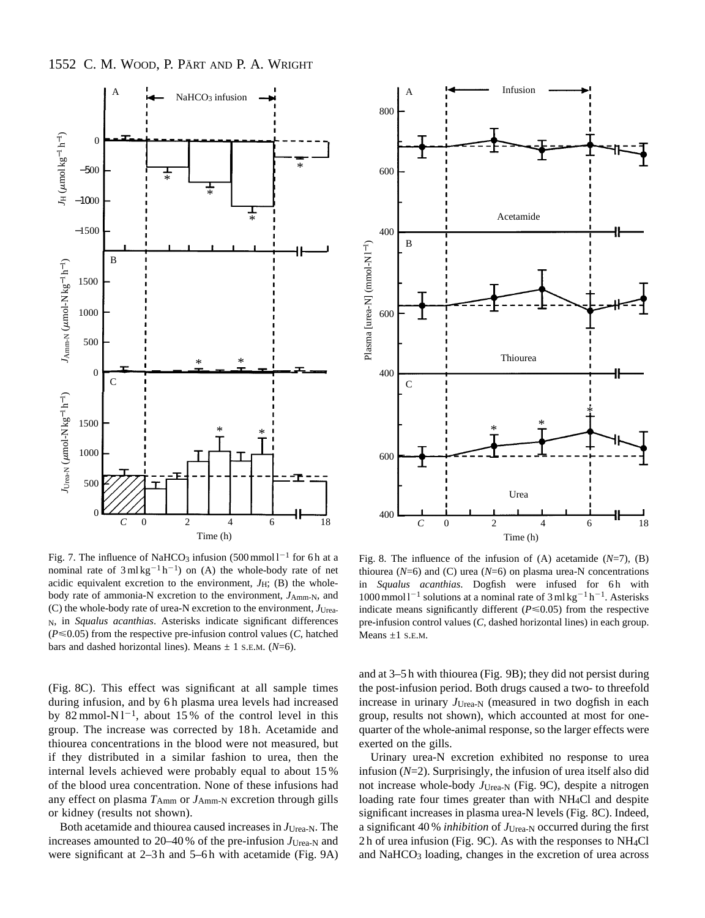

Fig. 7. The influence of NaHCO<sub>3</sub> infusion (500 mmol  $1^{-1}$  for 6 h at a nominal rate of  $3 \text{ ml kg}^{-1} h^{-1}$  on (A) the whole-body rate of net acidic equivalent excretion to the environment, *J*H; (B) the wholebody rate of ammonia-N excretion to the environment,  $J_{Amm-N}$ , and (C) the whole-body rate of urea-N excretion to the environment, *J*Urea-N, in *Squalus acanthias*. Asterisks indicate significant differences  $(P \le 0.05)$  from the respective pre-infusion control values  $(C,$  hatched bars and dashed horizontal lines). Means  $\pm$  1 s.E.M. ( $N=6$ ).

(Fig. 8C). This effect was significant at all sample times during infusion, and by 6h plasma urea levels had increased by 82 mmol-N $1^{-1}$ , about 15% of the control level in this group. The increase was corrected by 18 h. Acetamide and thiourea concentrations in the blood were not measured, but if they distributed in a similar fashion to urea, then the internal levels achieved were probably equal to about 15 % of the blood urea concentration. None of these infusions had any effect on plasma  $T_{\text{Amm}}$  or  $J_{\text{Amm-N}}$  excretion through gills or kidney (results not shown).

Both acetamide and thiourea caused increases in *J*Urea-N. The increases amounted to 20–40 % of the pre-infusion  $J_{Urea-N}$  and were significant at 2–3h and 5–6h with acetamide (Fig. 9A)



Fig. 8. The influence of the infusion of (A) acetamide (*N*=7), (B) thiourea ( $N=6$ ) and (C) urea ( $N=6$ ) on plasma urea-N concentrations in *Squalus acanthias*. Dogfish were infused for 6h with  $1000$  mmol  $1^{-1}$  solutions at a nominal rate of 3 ml kg<sup>-1</sup> h<sup>-1</sup>. Asterisks indicate means significantly different  $(P \le 0.05)$  from the respective pre-infusion control values (*C*, dashed horizontal lines) in each group. Means  $\pm 1$  S.E.M.

and at 3–5 h with thiourea (Fig. 9B); they did not persist during the post-infusion period. Both drugs caused a two- to threefold increase in urinary *J*Urea-N (measured in two dogfish in each group, results not shown), which accounted at most for onequarter of the whole-animal response, so the larger effects were exerted on the gills.

Urinary urea-N excretion exhibited no response to urea infusion (*N*=2). Surprisingly, the infusion of urea itself also did not increase whole-body *J*Urea-N (Fig. 9C), despite a nitrogen loading rate four times greater than with NH<sub>4</sub>Cl and despite significant increases in plasma urea-N levels (Fig. 8C). Indeed, a significant 40 % *inhibition* of *J*Urea-N occurred during the first 2 h of urea infusion (Fig. 9C). As with the responses to NH4Cl and NaHCO<sub>3</sub> loading, changes in the excretion of urea across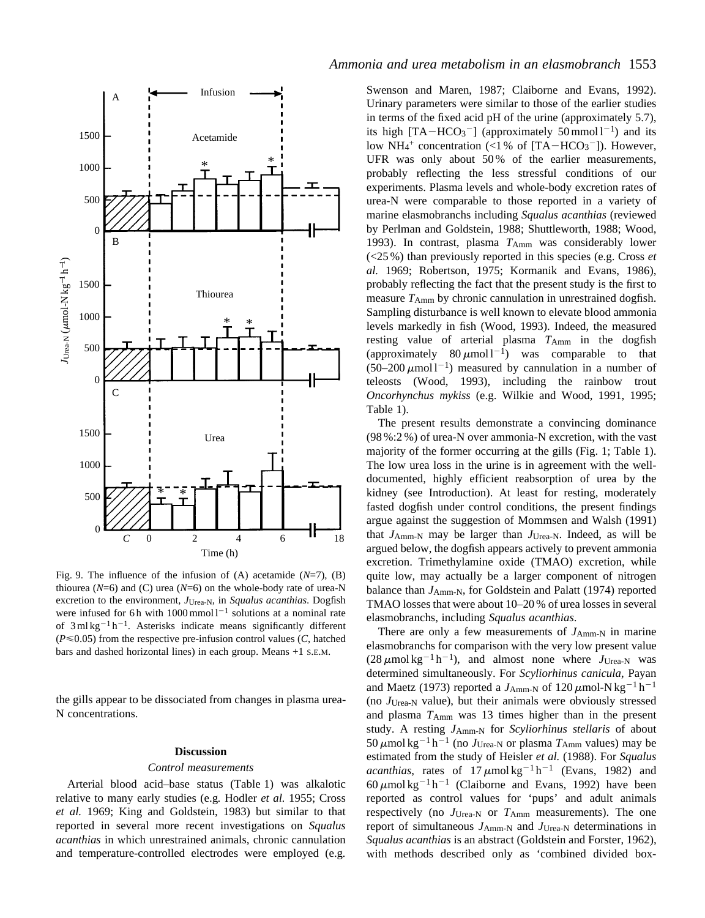

Fig. 9. The influence of the infusion of (A) acetamide (*N*=7), (B) thiourea ( $N=6$ ) and (C) urea ( $N=6$ ) on the whole-body rate of urea-N excretion to the environment, *J*Urea-N, in *Squalus acanthias*. Dogfish were infused for 6 h with  $1000$  mmol  $1^{-1}$  solutions at a nominal rate of  $3 \text{ ml kg}^{-1}$  h<sup>-1</sup>. Asterisks indicate means significantly different  $(P \le 0.05)$  from the respective pre-infusion control values (*C*, hatched bars and dashed horizontal lines) in each group. Means +1 S.E.M.

the gills appear to be dissociated from changes in plasma urea-N concentrations.

#### **Discussion**

#### *Control measurements*

Arterial blood acid–base status (Table 1) was alkalotic relative to many early studies (e.g*.* Hodler *et al.* 1955; Cross *et al.* 1969; King and Goldstein, 1983) but similar to that reported in several more recent investigations on *Squalus acanthias* in which unrestrained animals, chronic cannulation and temperature-controlled electrodes were employed (e.g*.*

# *Ammonia and urea metabolism in an elasmobranch* 1553

Swenson and Maren, 1987; Claiborne and Evans, 1992). Urinary parameters were similar to those of the earlier studies in terms of the fixed acid pH of the urine (approximately 5.7), its high  $[TA-HCO<sub>3</sub><sup>-</sup>]$  (approximately 50 mmol l<sup>-1</sup>) and its low  $NH_4$ <sup>+</sup> concentration (<1% of [TA-HCO<sub>3</sub><sup>-</sup>]). However, UFR was only about 50% of the earlier measurements, probably reflecting the less stressful conditions of our experiments. Plasma levels and whole-body excretion rates of urea-N were comparable to those reported in a variety of marine elasmobranchs including *Squalus acanthias* (reviewed by Perlman and Goldstein, 1988; Shuttleworth, 1988; Wood, 1993). In contrast, plasma  $T_{\text{Amm}}$  was considerably lower (<25 %) than previously reported in this species (e.g. Cross *et al.* 1969; Robertson, 1975; Kormanik and Evans, 1986), probably reflecting the fact that the present study is the first to measure  $T_{Amm}$  by chronic cannulation in unrestrained dogfish. Sampling disturbance is well known to elevate blood ammonia levels markedly in fish (Wood, 1993). Indeed, the measured resting value of arterial plasma  $T_{\text{Amm}}$  in the dogfish (approximately  $80 \mu \text{mol}^{-1}$ ) was comparable to that  $(50-200 \,\mu mol l^{-1})$  measured by cannulation in a number of teleosts (Wood, 1993), including the rainbow trout *Oncorhynchus mykiss* (e.g. Wilkie and Wood, 1991, 1995; Table 1).

The present results demonstrate a convincing dominance (98 %:2 %) of urea-N over ammonia-N excretion, with the vast majority of the former occurring at the gills (Fig. 1; Table 1). The low urea loss in the urine is in agreement with the welldocumented, highly efficient reabsorption of urea by the kidney (see Introduction). At least for resting, moderately fasted dogfish under control conditions, the present findings argue against the suggestion of Mommsen and Walsh (1991) that *J*Amm-N may be larger than *J*Urea-N. Indeed, as will be argued below, the dogfish appears actively to prevent ammonia excretion. Trimethylamine oxide (TMAO) excretion, while quite low, may actually be a larger component of nitrogen balance than *J*<sub>Amm-N</sub>, for Goldstein and Palatt (1974) reported TMAO losses that were about 10–20 % of urea losses in several elasmobranchs, including *Squalus acanthias*.

There are only a few measurements of  $J_{Amm-N}$  in marine elasmobranchs for comparison with the very low present value  $(28 \mu m o \log^{-1} h^{-1})$ , and almost none where  $J_{U \text{rea-}N}$  was determined simultaneously. For *Scyliorhinus canicula*, Payan and Maetz (1973) reported a  $J_{Amm-N}$  of 120  $\mu$ mol-N kg<sup>-1</sup> h<sup>-1</sup> (no *J*Urea-N value), but their animals were obviously stressed and plasma *T*Amm was 13 times higher than in the present study. A resting *J*Amm-N for *Scyliorhinus stellaris* of about  $50 \mu$ mol kg<sup>-1</sup> h<sup>-1</sup> (no *J*<sub>Urea-N</sub> or plasma *T*<sub>Amm</sub> values) may be estimated from the study of Heisler *et al.* (1988). For *Squalus acanthias*, rates of  $17 \mu m$ ol kg<sup>-1</sup> h<sup>-1</sup> (Evans, 1982) and 60  $\mu$ mol kg<sup>-1</sup> h<sup>-1</sup> (Claiborne and Evans, 1992) have been reported as control values for 'pups' and adult animals respectively (no *J*Urea-N or *T*Amm measurements). The one report of simultaneous *J*Amm-N and *J*Urea-N determinations in *Squalus acanthias* is an abstract (Goldstein and Forster, 1962), with methods described only as 'combined divided box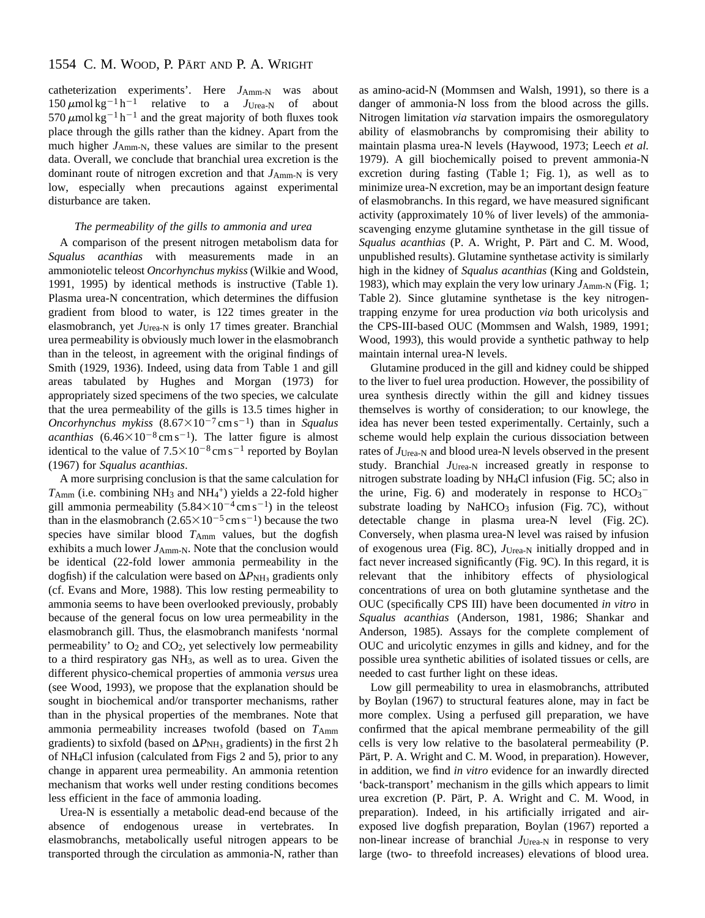catheterization experiments'. Here  $J_{Amm-N}$  was about  $150 \mu$ mol kg<sup>-1</sup> h<sup>-1</sup> relative to a  $J_{U \text{rea-}N}$  of about 570  $\mu$ mol kg<sup>-1</sup> h<sup>-1</sup> and the great majority of both fluxes took place through the gills rather than the kidney. Apart from the much higher  $J_{Amm-N}$ , these values are similar to the present data. Overall, we conclude that branchial urea excretion is the dominant route of nitrogen excretion and that  $J_{Amm-N}$  is very low, especially when precautions against experimental disturbance are taken.

## *The permeability of the gills to ammonia and urea*

A comparison of the present nitrogen metabolism data for *Squalus acanthias* with measurements made in ammoniotelic teleost *Oncorhynchus mykiss* (Wilkie and Wood, 1991, 1995) by identical methods is instructive (Table 1). Plasma urea-N concentration, which determines the diffusion gradient from blood to water, is 122 times greater in the elasmobranch, yet *J*<sub>Urea-N</sub> is only 17 times greater. Branchial urea permeability is obviously much lower in the elasmobranch than in the teleost, in agreement with the original findings of Smith (1929, 1936). Indeed, using data from Table 1 and gill areas tabulated by Hughes and Morgan (1973) for appropriately sized specimens of the two species, we calculate that the urea permeability of the gills is 13.5 times higher in *Oncorhynchus mykiss*  $(8.67 \times 10^{-7} \text{ cm s}^{-1})$  than in *Squalus acanthias*  $(6.46 \times 10^{-8} \text{ cm s}^{-1})$ . The latter figure is almost identical to the value of  $7.5 \times 10^{-8}$  cm s<sup>-1</sup> reported by Boylan (1967) for *Squalus acanthias*.

A more surprising conclusion is that the same calculation for  $T_{\text{Amm}}$  (i.e. combining NH<sub>3</sub> and NH<sub>4</sub><sup>+</sup>) yields a 22-fold higher gill ammonia permeability  $(5.84 \times 10^{-4} \text{ cm s}^{-1})$  in the teleost than in the elasmobranch  $(2.65 \times 10^{-5} \text{ cm s}^{-1})$  because the two species have similar blood  $T_{\text{Amm}}$  values, but the dogfish exhibits a much lower *J*<sub>Amm-N</sub>. Note that the conclusion would be identical (22-fold lower ammonia permeability in the dogfish) if the calculation were based on  $\Delta P_{\text{NH}_3}$  gradients only (cf. Evans and More, 1988). This low resting permeability to ammonia seems to have been overlooked previously, probably because of the general focus on low urea permeability in the elasmobranch gill. Thus, the elasmobranch manifests 'normal permeability' to  $O_2$  and  $CO_2$ , yet selectively low permeability to a third respiratory gas NH3, as well as to urea. Given the different physico-chemical properties of ammonia *versus* urea (see Wood, 1993), we propose that the explanation should be sought in biochemical and/or transporter mechanisms, rather than in the physical properties of the membranes. Note that ammonia permeability increases twofold (based on  $T_{\text{Amm}}$ gradients) to sixfold (based on  $\Delta P_{\text{NH}_3}$  gradients) in the first 2 h of NH4Cl infusion (calculated from Figs 2 and 5), prior to any change in apparent urea permeability. An ammonia retention mechanism that works well under resting conditions becomes less efficient in the face of ammonia loading.

Urea-N is essentially a metabolic dead-end because of the absence of endogenous urease in vertebrates. In elasmobranchs, metabolically useful nitrogen appears to be transported through the circulation as ammonia-N, rather than as amino-acid-N (Mommsen and Walsh, 1991), so there is a danger of ammonia-N loss from the blood across the gills. Nitrogen limitation *via* starvation impairs the osmoregulatory ability of elasmobranchs by compromising their ability to maintain plasma urea-N levels (Haywood, 1973; Leech *et al.* 1979). A gill biochemically poised to prevent ammonia-N excretion during fasting (Table 1; Fig. 1), as well as to minimize urea-N excretion, may be an important design feature of elasmobranchs. In this regard, we have measured significant activity (approximately 10 % of liver levels) of the ammoniascavenging enzyme glutamine synthetase in the gill tissue of *Squalus acanthias* (P. A. Wright, P. Pärt and C. M. Wood, unpublished results). Glutamine synthetase activity is similarly high in the kidney of *Squalus acanthias* (King and Goldstein, 1983), which may explain the very low urinary  $J_{Amm-N}$  (Fig. 1; Table 2). Since glutamine synthetase is the key nitrogentrapping enzyme for urea production *via* both uricolysis and the CPS-III-based OUC (Mommsen and Walsh, 1989, 1991; Wood, 1993), this would provide a synthetic pathway to help maintain internal urea-N levels.

Glutamine produced in the gill and kidney could be shipped to the liver to fuel urea production. However, the possibility of urea synthesis directly within the gill and kidney tissues themselves is worthy of consideration; to our knowlege, the idea has never been tested experimentally. Certainly, such a scheme would help explain the curious dissociation between rates of *J*Urea-N and blood urea-N levels observed in the present study. Branchial *J*Urea-N increased greatly in response to nitrogen substrate loading by NH4Cl infusion (Fig. 5C; also in the urine, Fig. 6) and moderately in response to  $HCO<sub>3</sub>$ substrate loading by  $NAHCO<sub>3</sub>$  infusion (Fig. 7C), without detectable change in plasma urea-N level (Fig. 2C). Conversely, when plasma urea-N level was raised by infusion of exogenous urea (Fig. 8C), *J*Urea-N initially dropped and in fact never increased significantly (Fig. 9C). In this regard, it is relevant that the inhibitory effects of physiological concentrations of urea on both glutamine synthetase and the OUC (specifically CPS III) have been documented *in vitro* in *Squalus acanthias* (Anderson, 1981, 1986; Shankar and Anderson, 1985). Assays for the complete complement of OUC and uricolytic enzymes in gills and kidney, and for the possible urea synthetic abilities of isolated tissues or cells, are needed to cast further light on these ideas.

Low gill permeability to urea in elasmobranchs, attributed by Boylan (1967) to structural features alone, may in fact be more complex. Using a perfused gill preparation, we have confirmed that the apical membrane permeability of the gill cells is very low relative to the basolateral permeability (P. Pärt, P. A. Wright and C. M. Wood, in preparation). However, in addition, we find *in vitro* evidence for an inwardly directed 'back-transport' mechanism in the gills which appears to limit urea excretion (P. Pärt, P. A. Wright and C. M. Wood, in preparation). Indeed, in his artificially irrigated and airexposed live dogfish preparation, Boylan (1967) reported a non-linear increase of branchial *J*Urea-N in response to very large (two- to threefold increases) elevations of blood urea.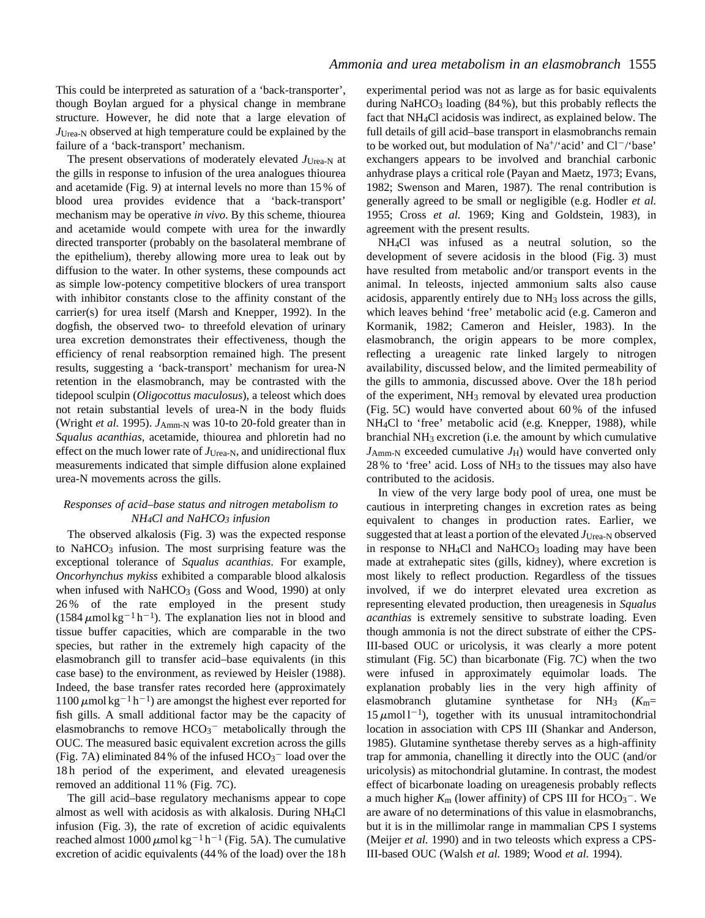This could be interpreted as saturation of a 'back-transporter', though Boylan argued for a physical change in membrane structure. However, he did note that a large elevation of *J*Urea-N observed at high temperature could be explained by the failure of a 'back-transport' mechanism.

The present observations of moderately elevated *J*Urea-N at the gills in response to infusion of the urea analogues thiourea and acetamide (Fig. 9) at internal levels no more than 15 % of blood urea provides evidence that a 'back-transport' mechanism may be operative *in vivo*. By this scheme, thiourea and acetamide would compete with urea for the inwardly directed transporter (probably on the basolateral membrane of the epithelium), thereby allowing more urea to leak out by diffusion to the water. In other systems, these compounds act as simple low-potency competitive blockers of urea transport with inhibitor constants close to the affinity constant of the carrier(s) for urea itself (Marsh and Knepper, 1992). In the dogfish, the observed two- to threefold elevation of urinary urea excretion demonstrates their effectiveness, though the efficiency of renal reabsorption remained high. The present results, suggesting a 'back-transport' mechanism for urea-N retention in the elasmobranch, may be contrasted with the tidepool sculpin (*Oligocottus maculosus*), a teleost which does not retain substantial levels of urea-N in the body fluids (Wright *et al.* 1995). *J*Amm-N was 10-to 20-fold greater than in *Squalus acanthias*, acetamide, thiourea and phloretin had no effect on the much lower rate of  $J_{Urea-N}$ , and unidirectional flux measurements indicated that simple diffusion alone explained urea-N movements across the gills.

# *Responses of acid–base status and nitrogen metabolism to NH4Cl and NaHCO3 infusion*

The observed alkalosis (Fig. 3) was the expected response to NaHCO<sub>3</sub> infusion. The most surprising feature was the exceptional tolerance of *Squalus acanthias*. For example, *Oncorhynchus mykiss* exhibited a comparable blood alkalosis when infused with  $NaHCO<sub>3</sub>$  (Goss and Wood, 1990) at only 26 % of the rate employed in the present study  $(1584 \,\mu \text{mol} \,\text{kg}^{-1} \text{h}^{-1})$ . The explanation lies not in blood and tissue buffer capacities, which are comparable in the two species, but rather in the extremely high capacity of the elasmobranch gill to transfer acid–base equivalents (in this case base) to the environment, as reviewed by Heisler (1988). Indeed, the base transfer rates recorded here (approximately  $1100 \mu$ mol kg<sup>-1</sup> h<sup>-1</sup>) are amongst the highest ever reported for fish gills. A small additional factor may be the capacity of elasmobranchs to remove  $HCO<sub>3</sub><sup>-</sup>$  metabolically through the OUC. The measured basic equivalent excretion across the gills (Fig. 7A) eliminated 84% of the infused  $HCO<sub>3</sub><sup>-</sup>$  load over the 18 h period of the experiment, and elevated ureagenesis removed an additional 11 % (Fig. 7C).

The gill acid–base regulatory mechanisms appear to cope almost as well with acidosis as with alkalosis. During NH4Cl infusion (Fig. 3), the rate of excretion of acidic equivalents reached almost 1000  $\mu$ mol kg<sup>-1</sup> h<sup>-1</sup> (Fig. 5A). The cumulative excretion of acidic equivalents (44 % of the load) over the 18 h experimental period was not as large as for basic equivalents during NaHCO<sub>3</sub> loading  $(84\%)$ , but this probably reflects the fact that NH4Cl acidosis was indirect, as explained below. The full details of gill acid–base transport in elasmobranchs remain to be worked out, but modulation of  $Na^{+}\prime$  acid' and  $Cl^{-}\prime$  base' exchangers appears to be involved and branchial carbonic anhydrase plays a critical role (Payan and Maetz, 1973; Evans, 1982; Swenson and Maren, 1987). The renal contribution is generally agreed to be small or negligible (e.g. Hodler *et al.* 1955; Cross *et al.* 1969; King and Goldstein, 1983), in agreement with the present results.

NH4Cl was infused as a neutral solution, so the development of severe acidosis in the blood (Fig. 3) must have resulted from metabolic and/or transport events in the animal. In teleosts, injected ammonium salts also cause acidosis, apparently entirely due to NH3 loss across the gills, which leaves behind 'free' metabolic acid (e.g. Cameron and Kormanik, 1982; Cameron and Heisler, 1983). In the elasmobranch, the origin appears to be more complex, reflecting a ureagenic rate linked largely to nitrogen availability, discussed below, and the limited permeability of the gills to ammonia, discussed above. Over the 18 h period of the experiment, NH3 removal by elevated urea production (Fig. 5C) would have converted about 60 % of the infused NH4Cl to 'free' metabolic acid (e.g*.* Knepper, 1988), while branchial NH3 excretion (i.e*.* the amount by which cumulative *J*Amm-N exceeded cumulative *J*H) would have converted only 28 % to 'free' acid. Loss of NH3 to the tissues may also have contributed to the acidosis.

In view of the very large body pool of urea, one must be cautious in interpreting changes in excretion rates as being equivalent to changes in production rates. Earlier, we suggested that at least a portion of the elevated  $J_{Urea-N}$  observed in response to NH<sub>4</sub>Cl and NaHCO<sub>3</sub> loading may have been made at extrahepatic sites (gills, kidney), where excretion is most likely to reflect production. Regardless of the tissues involved, if we do interpret elevated urea excretion as representing elevated production, then ureagenesis in *Squalus acanthias* is extremely sensitive to substrate loading. Even though ammonia is not the direct substrate of either the CPS-III-based OUC or uricolysis, it was clearly a more potent stimulant (Fig. 5C) than bicarbonate (Fig. 7C) when the two were infused in approximately equimolar loads. The explanation probably lies in the very high affinity of elasmobranch glutamine synthetase for NH3 (*K*m=  $15 \mu$ mol l<sup>-1</sup>), together with its unusual intramitochondrial location in association with CPS III (Shankar and Anderson, 1985). Glutamine synthetase thereby serves as a high-affinity trap for ammonia, chanelling it directly into the OUC (and/or uricolysis) as mitochondrial glutamine. In contrast, the modest effect of bicarbonate loading on ureagenesis probably reflects a much higher  $K_{\text{m}}$  (lower affinity) of CPS III for  $\text{HCO}_3^-$ . We are aware of no determinations of this value in elasmobranchs, but it is in the millimolar range in mammalian CPS I systems (Meijer *et al.* 1990) and in two teleosts which express a CPS-III-based OUC (Walsh *et al.* 1989; Wood *et al.* 1994).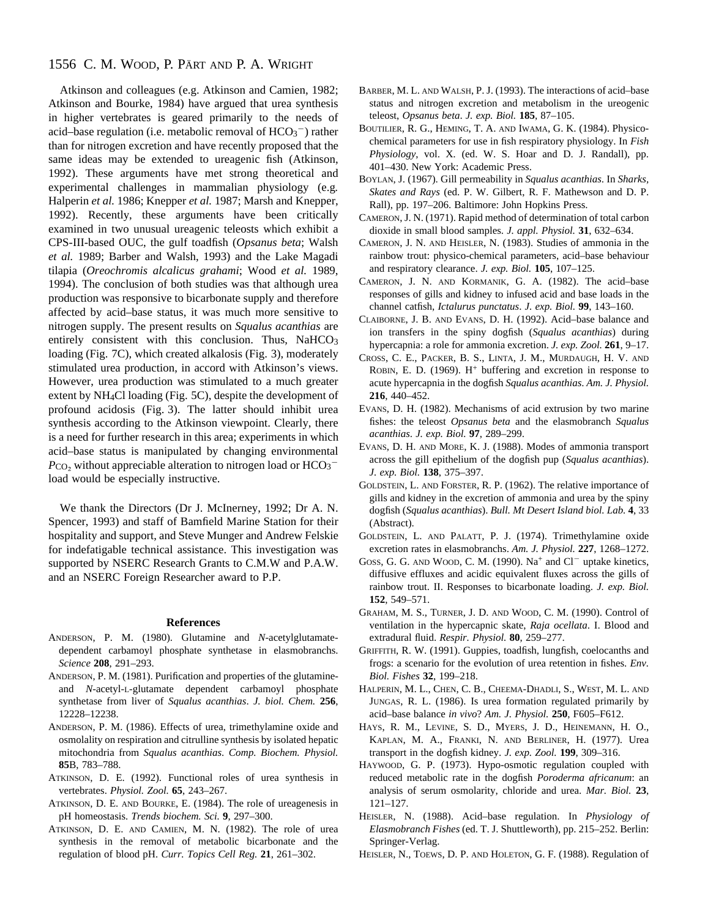# 1556 C. M. WOOD, P. PÄRT AND P. A. WRIGHT

Atkinson and colleagues (e.g. Atkinson and Camien, 1982; Atkinson and Bourke, 1984) have argued that urea synthesis in higher vertebrates is geared primarily to the needs of acid–base regulation (i.e. metabolic removal of  $HCO<sub>3</sub><sup>-</sup>$ ) rather than for nitrogen excretion and have recently proposed that the same ideas may be extended to ureagenic fish (Atkinson, 1992). These arguments have met strong theoretical and experimental challenges in mammalian physiology (e.g*.* Halperin *et al.* 1986; Knepper *et al.* 1987; Marsh and Knepper, 1992). Recently, these arguments have been critically examined in two unusual ureagenic teleosts which exhibit a CPS-III-based OUC, the gulf toadfish (*Opsanus beta*; Walsh *et al.* 1989; Barber and Walsh, 1993) and the Lake Magadi tilapia (*Oreochromis alcalicus grahami*; Wood *et al.* 1989, 1994). The conclusion of both studies was that although urea production was responsive to bicarbonate supply and therefore affected by acid–base status, it was much more sensitive to nitrogen supply. The present results on *Squalus acanthias* are entirely consistent with this conclusion. Thus, NaHCO<sub>3</sub> loading (Fig. 7C), which created alkalosis (Fig. 3), moderately stimulated urea production, in accord with Atkinson's views. However, urea production was stimulated to a much greater extent by NH4Cl loading (Fig. 5C), despite the development of profound acidosis (Fig. 3). The latter should inhibit urea synthesis according to the Atkinson viewpoint. Clearly, there is a need for further research in this area; experiments in which acid–base status is manipulated by changing environmental  $P_{\text{CO}_2}$  without appreciable alteration to nitrogen load or  $\text{HCO}_3^$ load would be especially instructive.

We thank the Directors (Dr J. McInerney, 1992; Dr A. N. Spencer, 1993) and staff of Bamfield Marine Station for their hospitality and support, and Steve Munger and Andrew Felskie for indefatigable technical assistance. This investigation was supported by NSERC Research Grants to C.M.W and P.A.W. and an NSERC Foreign Researcher award to P.P.

#### **References**

- ANDERSON, P. M. (1980). Glutamine and *N*-acetylglutamatedependent carbamoyl phosphate synthetase in elasmobranchs. *Science* **208**, 291–293.
- ANDERSON, P. M. (1981). Purification and properties of the glutamineand *N*-acetyl-L-glutamate dependent carbamoyl phosphate synthetase from liver of *Squalus acanthias*. *J. biol. Chem.* **256**, 12228–12238.
- ANDERSON, P. M. (1986). Effects of urea, trimethylamine oxide and osmolality on respiration and citrulline synthesis by isolated hepatic mitochondria from *Squalus acanthias*. *Comp. Biochem. Physiol.* **85**B, 783–788.
- ATKINSON, D. E. (1992). Functional roles of urea synthesis in vertebrates. *Physiol. Zool.* **65**, 243–267.
- ATKINSON, D. E. AND BOURKE, E. (1984). The role of ureagenesis in pH homeostasis. *Trends biochem. Sci.* **9**, 297–300.
- ATKINSON, D. E. AND CAMIEN, M. N. (1982). The role of urea synthesis in the removal of metabolic bicarbonate and the regulation of blood pH. *Curr. Topics Cell Reg.* **21**, 261–302.
- BARBER, M. L. AND WALSH, P. J. (1993). The interactions of acid–base status and nitrogen excretion and metabolism in the ureogenic teleost, *Opsanus beta*. *J. exp. Biol.* **185**, 87–105.
- BOUTILIER, R. G., HEMING, T. A. AND IWAMA, G. K. (1984). Physicochemical parameters for use in fish respiratory physiology. In *Fish Physiology*, vol. X*.* (ed. W. S. Hoar and D. J. Randall), pp. 401–430. New York: Academic Press.
- BOYLAN, J. (1967). Gill permeability in *Squalus acanthias*. In *Sharks, Skates and Rays* (ed. P. W. Gilbert, R. F. Mathewson and D. P. Rall), pp. 197–206. Baltimore: John Hopkins Press.
- CAMERON, J. N. (1971). Rapid method of determination of total carbon dioxide in small blood samples. *J. appl. Physiol.* **31**, 632–634.
- CAMERON, J. N. AND HEISLER, N. (1983). Studies of ammonia in the rainbow trout: physico-chemical parameters, acid–base behaviour and respiratory clearance. *J. exp. Biol.* **105**, 107–125.
- CAMERON, J. N. AND KORMANIK, G. A. (1982). The acid–base responses of gills and kidney to infused acid and base loads in the channel catfish, *Ictalurus punctatus*. *J. exp. Biol.* **99**, 143–160.
- CLAIBORNE, J. B. AND EVANS, D. H. (1992). Acid–base balance and ion transfers in the spiny dogfish (*Squalus acanthias*) during hypercapnia: a role for ammonia excretion. *J. exp. Zool.* **261**, 9–17.
- CROSS, C. E., PACKER, B. S., LINTA, J. M., MURDAUGH, H. V. AND ROBIN, E. D. (1969).  $H^+$  buffering and excretion in response to acute hypercapnia in the dogfish *Squalus acanthias*. *Am. J. Physiol.* **216**, 440–452.
- EVANS, D. H. (1982). Mechanisms of acid extrusion by two marine fishes: the teleost *Opsanus beta* and the elasmobranch *Squalus acanthias*. *J. exp. Biol.* **97**, 289–299.
- EVANS, D. H. AND MORE, K. J. (1988). Modes of ammonia transport across the gill epithelium of the dogfish pup (*Squalus acanthias*). *J. exp. Biol.* **138**, 375–397.
- GOLDSTEIN, L. AND FORSTER, R. P. (1962). The relative importance of gills and kidney in the excretion of ammonia and urea by the spiny dogfish (*Squalus acanthias*). *Bull. Mt Desert Island biol. Lab.* **4**, 33 (Abstract).
- GOLDSTEIN, L. AND PALATT, P. J. (1974). Trimethylamine oxide excretion rates in elasmobranchs. *Am. J. Physiol.* **227**, 1268–1272.
- GOSS, G. G. AND WOOD, C. M. (1990).  $Na^+$  and  $Cl^-$  uptake kinetics, diffusive effluxes and acidic equivalent fluxes across the gills of rainbow trout. II. Responses to bicarbonate loading. *J. exp. Biol.* **152**, 549–571.
- GRAHAM, M. S., TURNER, J. D. AND WOOD, C. M. (1990). Control of ventilation in the hypercapnic skate, *Raja ocellata*. I. Blood and extradural fluid. *Respir. Physiol.* **80**, 259–277.
- GRIFFITH, R. W. (1991). Guppies, toadfish, lungfish, coelocanths and frogs: a scenario for the evolution of urea retention in fishes. *Env. Biol. Fishes* **32**, 199–218.
- HALPERIN, M. L., CHEN, C. B., CHEEMA-DHADLI, S., WEST, M. L. AND JUNGAS, R. L. (1986). Is urea formation regulated primarily by acid–base balance *in vivo*? *Am. J. Physiol.* **250**, F605–F612.
- HAYS, R. M., LEVINE, S. D., MYERS, J. D., HEINEMANN, H. O., KAPLAN, M. A., FRANKI, N. AND BERLINER, H. (1977). Urea transport in the dogfish kidney. *J. exp. Zool.* **199**, 309–316.
- HAYWOOD, G. P. (1973). Hypo-osmotic regulation coupled with reduced metabolic rate in the dogfish *Poroderma africanum*: an analysis of serum osmolarity, chloride and urea. *Mar. Biol.* **23**, 121–127.
- HEISLER, N. (1988). Acid–base regulation. In *Physiology of Elasmobranch Fishes* (ed. T. J. Shuttleworth), pp. 215–252. Berlin: Springer-Verlag.
- HEISLER, N., TOEWS, D. P. AND HOLETON, G. F. (1988). Regulation of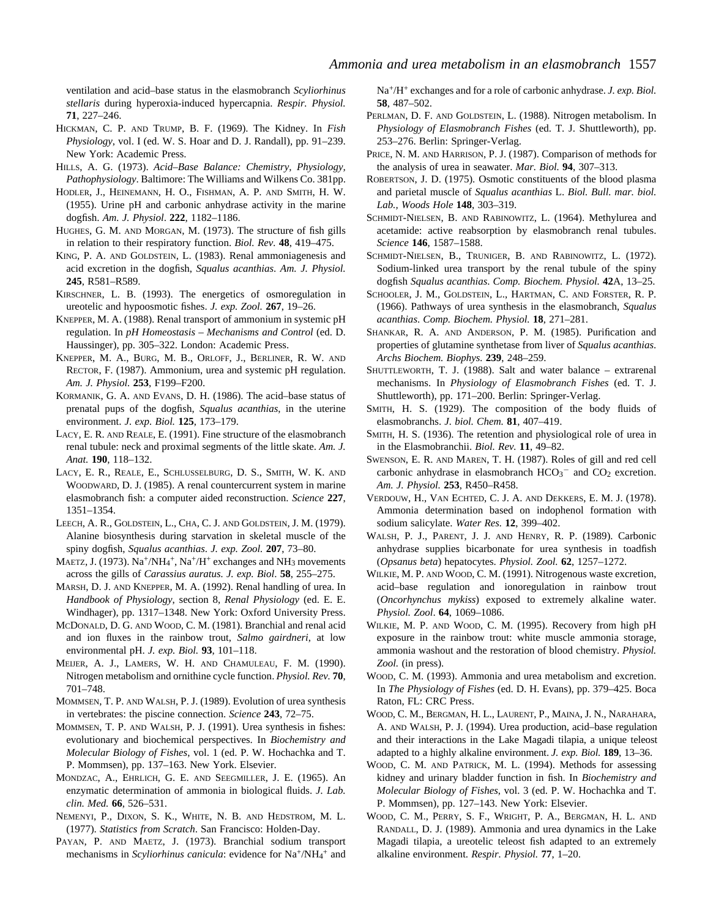ventilation and acid–base status in the elasmobranch *Scyliorhinus stellaris* during hyperoxia-induced hypercapnia. *Respir. Physiol.* **71**, 227–246.

- HICKMAN, C. P. AND TRUMP, B. F. (1969). The Kidney. In *Fish Physiology*, vol. I (ed. W. S. Hoar and D. J. Randall), pp. 91–239. New York: Academic Press.
- HILLS, A. G. (1973). *Acid–Base Balance: Chemistry, Physiology, Pathophysiology*. Baltimore: The Williams and Wilkens Co. 381pp.
- HODLER, J., HEINEMANN, H. O., FISHMAN, A. P. AND SMITH, H. W. (1955). Urine pH and carbonic anhydrase activity in the marine dogfish. *Am. J. Physiol*. **222**, 1182–1186.
- HUGHES, G. M. AND MORGAN, M. (1973). The structure of fish gills in relation to their respiratory function. *Biol. Rev.* **48**, 419–475.
- KING, P. A. AND GOLDSTEIN, L. (1983). Renal ammoniagenesis and acid excretion in the dogfish, *Squalus acanthias*. *Am. J. Physiol.* **245**, R581–R589.
- KIRSCHNER, L. B. (1993). The energetics of osmoregulation in ureotelic and hypoosmotic fishes. *J. exp. Zool.* **267**, 19–26.
- KNEPPER, M. A. (1988). Renal transport of ammonium in systemic pH regulation. In *pH Homeostasis – Mechanisms and Control* (ed. D. Haussinger), pp. 305–322. London: Academic Press.
- KNEPPER, M. A., BURG, M. B., ORLOFF, J., BERLINER, R. W. AND RECTOR, F. (1987). Ammonium, urea and systemic pH regulation. *Am. J. Physiol.* **253**, F199–F200.
- KORMANIK, G. A. AND EVANS, D. H. (1986). The acid–base status of prenatal pups of the dogfish, *Squalus acanthias*, in the uterine environment. *J. exp. Biol.* **125**, 173–179.
- LACY, E. R. AND REALE, E. (1991). Fine structure of the elasmobranch renal tubule: neck and proximal segments of the little skate. *Am. J. Anat.* **190**, 118–132.
- LACY, E. R., REALE, E., SCHLUSSELBURG, D. S., SMITH, W. K. AND WOODWARD, D. J. (1985). A renal countercurrent system in marine elasmobranch fish: a computer aided reconstruction. *Science* **227**, 1351–1354.
- LEECH, A. R., GOLDSTEIN, L., CHA, C. J. AND GOLDSTEIN, J. M. (1979). Alanine biosynthesis during starvation in skeletal muscle of the spiny dogfish, *Squalus acanthias*. *J. exp. Zool.* **207**, 73–80.
- MAETZ, J. (1973). Na<sup>+</sup>/NH<sub>4</sub><sup>+</sup>, Na<sup>+</sup>/H<sup>+</sup> exchanges and NH<sub>3</sub> movements across the gills of *Carassius auratus. J. exp. Biol*. **58**, 255–275.
- MARSH, D. J. AND KNEPPER, M. A. (1992). Renal handling of urea. In *Handbook of Physiology*, section 8, *Renal Physiology* (ed. E. E. Windhager), pp. 1317–1348. New York: Oxford University Press.
- MCDONALD, D. G. AND WOOD, C. M. (1981). Branchial and renal acid and ion fluxes in the rainbow trout, *Salmo gairdneri*, at low environmental pH. *J. exp. Biol.* **93**, 101–118.
- MEIJER, A. J., LAMERS, W. H. AND CHAMULEAU, F. M. (1990). Nitrogen metabolism and ornithine cycle function. *Physiol. Rev.* **70**, 701–748.
- MOMMSEN, T. P. AND WALSH, P. J. (1989). Evolution of urea synthesis in vertebrates: the piscine connection. *Science* **243**, 72–75.
- MOMMSEN, T. P. AND WALSH, P. J. (1991). Urea synthesis in fishes: evolutionary and biochemical perspectives. In *Biochemistry and Molecular Biology of Fishes*, vol. 1 (ed. P. W. Hochachka and T. P. Mommsen), pp. 137–163. New York. Elsevier.
- MONDZAC, A., EHRLICH, G. E. AND SEEGMILLER, J. E. (1965). An enzymatic determination of ammonia in biological fluids. *J. Lab. clin. Med.* **66**, 526–531.
- NEMENYI, P., DIXON, S. K., WHITE, N. B. AND HEDSTROM, M. L. (1977). *Statistics from Scratch*. San Francisco: Holden-Day.
- PAYAN, P. AND MAETZ, J. (1973). Branchial sodium transport mechanisms in *Scyliorhinus canicula*: evidence for Na<sup>+</sup>/NH<sub>4</sub><sup>+</sup> and

Na+/H+ exchanges and for a role of carbonic anhydrase. *J. exp. Biol.* **58**, 487–502.

- PERLMAN, D. F. AND GOLDSTEIN, L. (1988). Nitrogen metabolism. In *Physiology of Elasmobranch Fishes* (ed. T. J. Shuttleworth), pp. 253–276. Berlin: Springer-Verlag.
- PRICE, N. M. AND HARRISON, P. J. (1987). Comparison of methods for the analysis of urea in seawater. *Mar. Biol.* **94**, 307–313.
- ROBERTSON, J. D. (1975). Osmotic constituents of the blood plasma and parietal muscle of *Squalus acanthias* L. *Biol. Bull. mar. biol. Lab., Woods Hole* **148**, 303–319.
- SCHMIDT-NIELSEN, B. AND RABINOWITZ, L. (1964). Methylurea and acetamide: active reabsorption by elasmobranch renal tubules. *Science* **146**, 1587–1588.
- SCHMIDT-NIELSEN, B., TRUNIGER, B. AND RABINOWITZ, L. (1972). Sodium-linked urea transport by the renal tubule of the spiny dogfish *Squalus acanthias*. *Comp. Biochem. Physiol.* **42**A, 13–25.
- SCHOOLER, J. M., GOLDSTEIN, L., HARTMAN, C. AND FORSTER, R. P. (1966). Pathways of urea synthesis in the elasmobranch, *Squalus acanthias*. *Comp. Biochem. Physiol.* **18**, 271–281.
- SHANKAR, R. A. AND ANDERSON, P. M. (1985). Purification and properties of glutamine synthetase from liver of *Squalus acanthias*. *Archs Biochem. Biophys.* **239**, 248–259.
- SHUTTLEWORTH, T. J. (1988). Salt and water balance extrarenal mechanisms. In *Physiology of Elasmobranch Fishes* (ed. T. J. Shuttleworth), pp. 171–200. Berlin: Springer-Verlag.
- SMITH, H. S. (1929). The composition of the body fluids of elasmobranchs. *J. biol. Chem.* **81**, 407–419.
- SMITH, H. S. (1936). The retention and physiological role of urea in in the Elasmobranchii. *Biol. Rev.* **11**, 49–82.
- SWENSON, E. R. AND MAREN, T. H. (1987). Roles of gill and red cell carbonic anhydrase in elasmobranch  $HCO<sub>3</sub><sup>-</sup>$  and  $CO<sub>2</sub>$  excretion. *Am. J. Physiol.* **253**, R450–R458.
- VERDOUW, H., VAN ECHTED, C. J. A. AND DEKKERS, E. M. J. (1978). Ammonia determination based on indophenol formation with sodium salicylate. *Water Res.* **12**, 399–402.
- WALSH, P. J., PARENT, J. J. AND HENRY, R. P. (1989). Carbonic anhydrase supplies bicarbonate for urea synthesis in toadfish (*Opsanus beta*) hepatocytes. *Physiol. Zool.* **62**, 1257–1272.
- WILKIE, M. P. AND WOOD, C. M. (1991). Nitrogenous waste excretion, acid–base regulation and ionoregulation in rainbow trout (*Oncorhynchus mykiss*) exposed to extremely alkaline water. *Physiol. Zool*. **64**, 1069–1086.
- WILKIE, M. P. AND WOOD, C. M. (1995). Recovery from high pH exposure in the rainbow trout: white muscle ammonia storage, ammonia washout and the restoration of blood chemistry. *Physiol. Zool.* (in press).
- WOOD, C. M. (1993). Ammonia and urea metabolism and excretion. In *The Physiology of Fishes* (ed. D. H. Evans), pp. 379–425. Boca Raton, FL: CRC Press.
- WOOD, C. M., BERGMAN, H. L., LAURENT, P., MAINA, J. N., NARAHARA, A. AND WALSH, P. J. (1994). Urea production, acid–base regulation and their interactions in the Lake Magadi tilapia, a unique teleost adapted to a highly alkaline environment. *J. exp. Biol.* **189**, 13–36.
- WOOD, C. M. AND PATRICK, M. L. (1994). Methods for assessing kidney and urinary bladder function in fish. In *Biochemistry and Molecular Biology of Fishes*, vol. 3 (ed. P. W. Hochachka and T. P. Mommsen), pp. 127–143. New York: Elsevier.
- WOOD, C. M., PERRY, S. F., WRIGHT, P. A., BERGMAN, H. L. AND RANDALL, D. J. (1989). Ammonia and urea dynamics in the Lake Magadi tilapia, a ureotelic teleost fish adapted to an extremely alkaline environment. *Respir. Physiol.* **77**, 1–20.